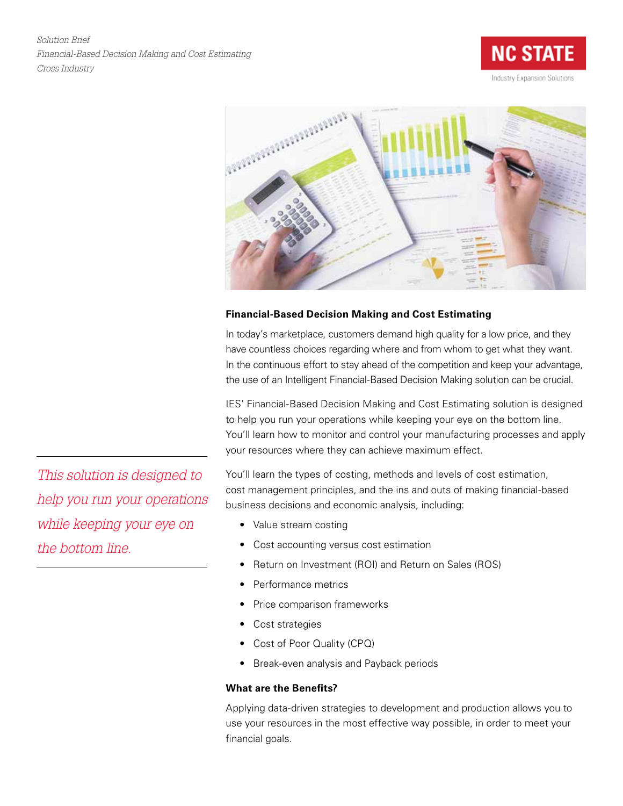*Solution Brief Financial-Based Decision Making and Cost Estimating Cross Industry*





# **Financial-Based Decision Making and Cost Estimating**

In today's marketplace, customers demand high quality for a low price, and they have countless choices regarding where and from whom to get what they want. In the continuous effort to stay ahead of the competition and keep your advantage, the use of an Intelligent Financial-Based Decision Making solution can be crucial.

IES' Financial-Based Decision Making and Cost Estimating solution is designed to help you run your operations while keeping your eye on the bottom line. You'll learn how to monitor and control your manufacturing processes and apply your resources where they can achieve maximum effect.

You'll learn the types of costing, methods and levels of cost estimation, cost management principles, and the ins and outs of making financial-based business decisions and economic analysis, including:

- Value stream costing
- • Cost accounting versus cost estimation
- Return on Investment (ROI) and Return on Sales (ROS)
- Performance metrics
- Price comparison frameworks
- Cost strategies
- Cost of Poor Quality (CPQ)
- Break-even analysis and Payback periods

# **What are the Benefits?**

Applying data-driven strategies to development and production allows you to use your resources in the most effective way possible, in order to meet your financial goals.

*This solution is designed to help you run your operations while keeping your eye on the bottom line.*